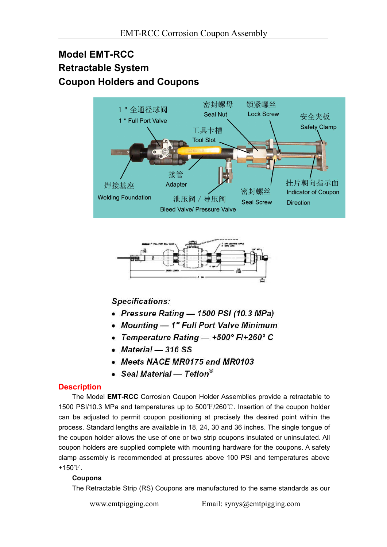# **Model EMT-RCC Retractable System Coupon Holders and Coupons**





# **Specifications:**

- Pressure Rating 1500 PSI (10.3 MPa)
- Mounting 1" Full Port Valve Minimum
- Temperature Rating  $-$  +500° F/+260° C
- $•$  Material  $-316$  SS
- Meets NACE MR0175 and MR0103
- Seal Material Teflon®

### **Description**

The Model **EMT-RCC** Corrosion Coupon Holder Assemblies provide a retractable to 1500 PSI/10.3 MPa and temperatures up to 500℉/260℃. Insertion of the coupon holder can be adjusted to permit coupon positioning at precisely the desired point within the process. Standard lengths are available in 18, 24, 30 and 36 inches. The single tongue of the coupon holder allows the use of one or two strip coupons insulated or uninsulated. All coupon holders are supplied complete with mounting hardware for the coupons. A safety clamp assembly is recommended at pressures above 100 PSI and temperatures above +150℉.

#### **Coupons**

The Retractable Strip (RS) Coupons are manufactured to the same standards as our